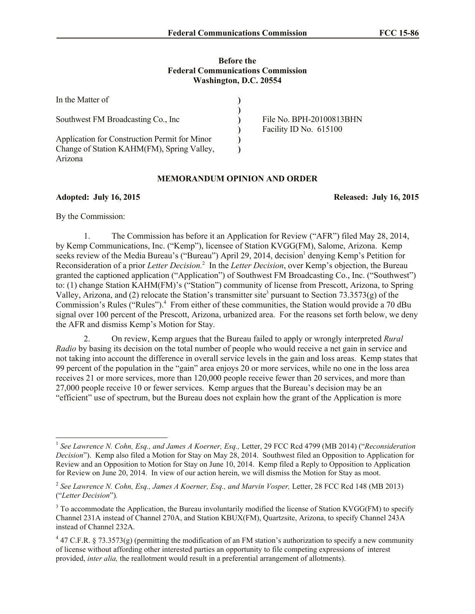## **Before the Federal Communications Commission Washington, D.C. 20554**

| In the Matter of                              |                          |
|-----------------------------------------------|--------------------------|
|                                               | File No. BPH-20100813BHN |
| Southwest FM Broadcasting Co., Inc.           |                          |
|                                               | Facility ID No. 615100   |
| Application for Construction Permit for Minor |                          |
| Change of Station KAHM(FM), Spring Valley,    |                          |
| Arizona                                       |                          |

## **MEMORANDUM OPINION AND ORDER**

**Adopted: July 16, 2015 Released: July 16, 2015**

By the Commission:

1. The Commission has before it an Application for Review ("AFR") filed May 28, 2014, by Kemp Communications, Inc. ("Kemp"), licensee of Station KVGG(FM), Salome, Arizona. Kemp seeks review of the Media Bureau's ("Bureau") April 29, 2014, decision<sup>1</sup> denying Kemp's Petition for Reconsideration of a prior *Letter Decision.*<sup>2</sup> In the *Letter Decision*, over Kemp's objection, the Bureau granted the captioned application ("Application") of Southwest FM Broadcasting Co., Inc. ("Southwest") to: (1) change Station KAHM(FM)'s ("Station") community of license from Prescott, Arizona, to Spring Valley, Arizona, and (2) relocate the Station's transmitter site<sup>3</sup> pursuant to Section 73.3573(g) of the Commission's Rules ("Rules").<sup>4</sup> From either of these communities, the Station would provide a 70 dBu signal over 100 percent of the Prescott, Arizona, urbanized area. For the reasons set forth below, we deny the AFR and dismiss Kemp's Motion for Stay.

2. On review, Kemp argues that the Bureau failed to apply or wrongly interpreted *Rural Radio* by basing its decision on the total number of people who would receive a net gain in service and not taking into account the difference in overall service levels in the gain and loss areas. Kemp states that 99 percent of the population in the "gain" area enjoys 20 or more services, while no one in the loss area receives 21 or more services, more than 120,000 people receive fewer than 20 services, and more than 27,000 people receive 10 or fewer services. Kemp argues that the Bureau's decision may be an "efficient" use of spectrum, but the Bureau does not explain how the grant of the Application is more

 $\overline{a}$ 1 *See Lawrence N. Cohn, Esq., and James A Koerner, Esq.,* Letter, 29 FCC Rcd 4799 (MB 2014) ("*Reconsideration Decision*"). Kemp also filed a Motion for Stay on May 28, 2014. Southwest filed an Opposition to Application for Review and an Opposition to Motion for Stay on June 10, 2014. Kemp filed a Reply to Opposition to Application for Review on June 20, 2014. In view of our action herein, we will dismiss the Motion for Stay as moot.

<sup>&</sup>lt;sup>2</sup> See Lawrence N. Cohn, Esq., James A Koerner, Esq., and Marvin Vosper, Letter, 28 FCC Rcd 148 (MB 2013) ("*Letter Decision*")*.* 

<sup>&</sup>lt;sup>3</sup> To accommodate the Application, the Bureau involuntarily modified the license of Station KVGG(FM) to specify Channel 231A instead of Channel 270A, and Station KBUX(FM), Quartzsite, Arizona, to specify Channel 243A instead of Channel 232A.

 $47$  C.F.R. § 73.3573(g) (permitting the modification of an FM station's authorization to specify a new community of license without affording other interested parties an opportunity to file competing expressions of interest provided, *inter alia,* the reallotment would result in a preferential arrangement of allotments).